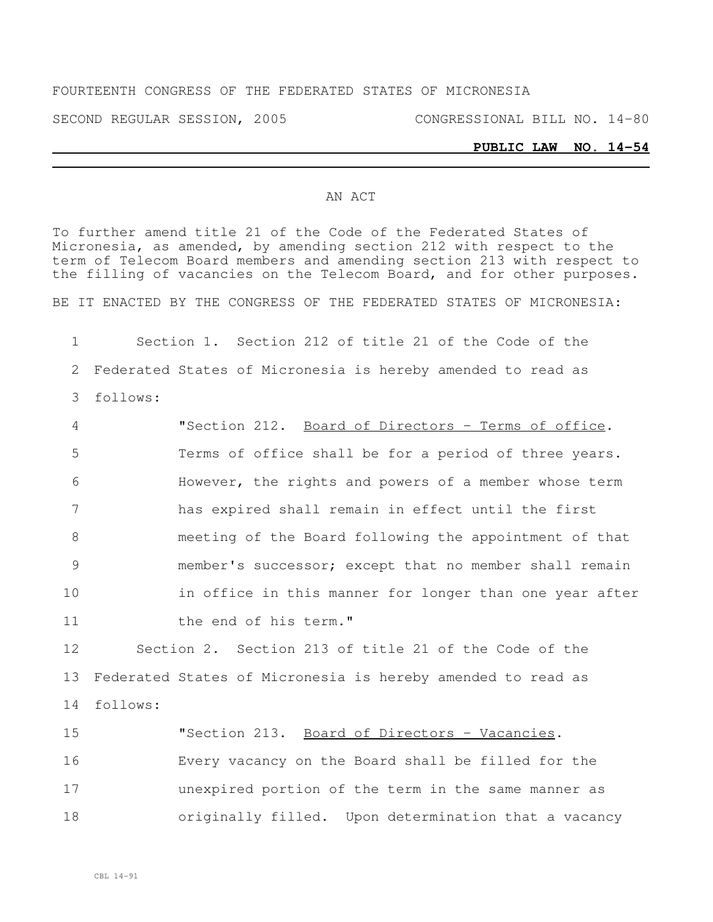SECOND REGULAR SESSION, 2005 CONGRESSIONAL BILL NO. 14-80

## **PUBLIC LAW NO. 14-54**

## AN ACT

To further amend title 21 of the Code of the Federated States of Micronesia, as amended, by amending section 212 with respect to the term of Telecom Board members and amending section 213 with respect to the filling of vacancies on the Telecom Board, and for other purposes.

BE IT ENACTED BY THE CONGRESS OF THE FEDERATED STATES OF MICRONESIA:

1 Section 1. Section 212 of title 21 of the Code of the 2 Federated States of Micronesia is hereby amended to read as 3 follows:

 "Section 212. Board of Directors - Terms of office. Terms of office shall be for a period of three years. However, the rights and powers of a member whose term has expired shall remain in effect until the first meeting of the Board following the appointment of that member's successor; except that no member shall remain 10 in office in this manner for longer than one year after 11 the end of his term."

12 Section 2. Section 213 of title 21 of the Code of the 13 Federated States of Micronesia is hereby amended to read as 14 follows:

15 The U.S. 213. Board of Directors - Vacancies. Every vacancy on the Board shall be filled for the unexpired portion of the term in the same manner as originally filled. Upon determination that a vacancy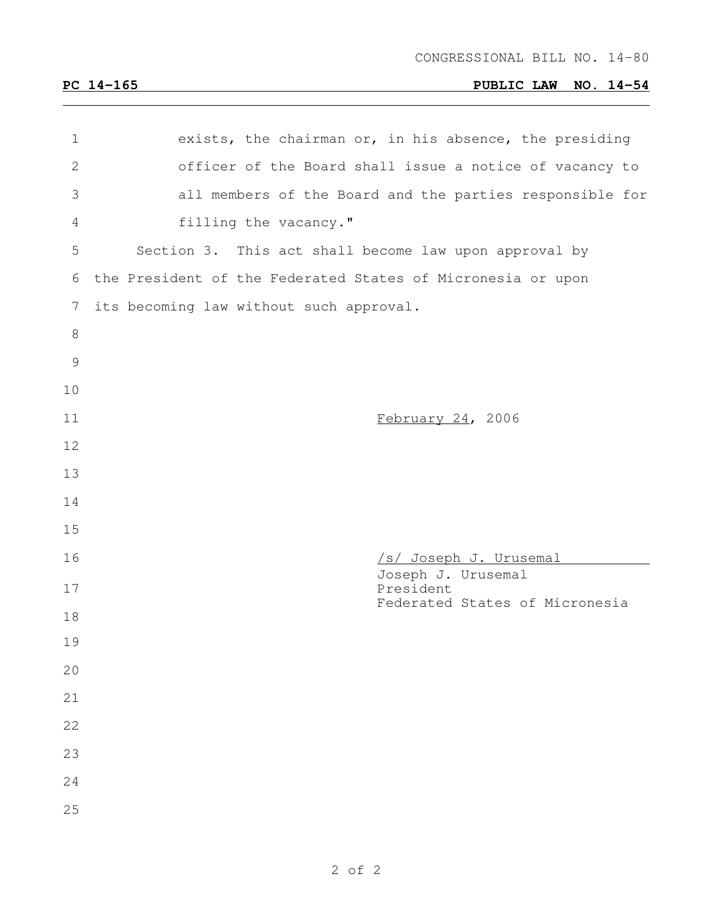## **PC 14-165 PUBLIC LAW NO. 14-54**

| 1             | exists, the chairman or, in his absence, the presiding      |
|---------------|-------------------------------------------------------------|
| $\mathbf{2}$  | officer of the Board shall issue a notice of vacancy to     |
| 3             | all members of the Board and the parties responsible for    |
| 4             | filling the vacancy."                                       |
| 5             | Section 3. This act shall become law upon approval by       |
| 6             | the President of the Federated States of Micronesia or upon |
| 7             | its becoming law without such approval.                     |
| $8\,$         |                                                             |
| $\mathcal{G}$ |                                                             |
| 10            |                                                             |
| 11            | February 24, 2006                                           |
| 12            |                                                             |
| 13            |                                                             |
| 14            |                                                             |
| 15            |                                                             |
| 16            | /s/ Joseph J. Urusemal                                      |
| 17            | Joseph J. Urusemal<br>President                             |
| 18            | Federated States of Micronesia                              |
| 19            |                                                             |
| 20            |                                                             |
| 21            |                                                             |
| 22            |                                                             |
| 23            |                                                             |
| 24            |                                                             |
| 25            |                                                             |